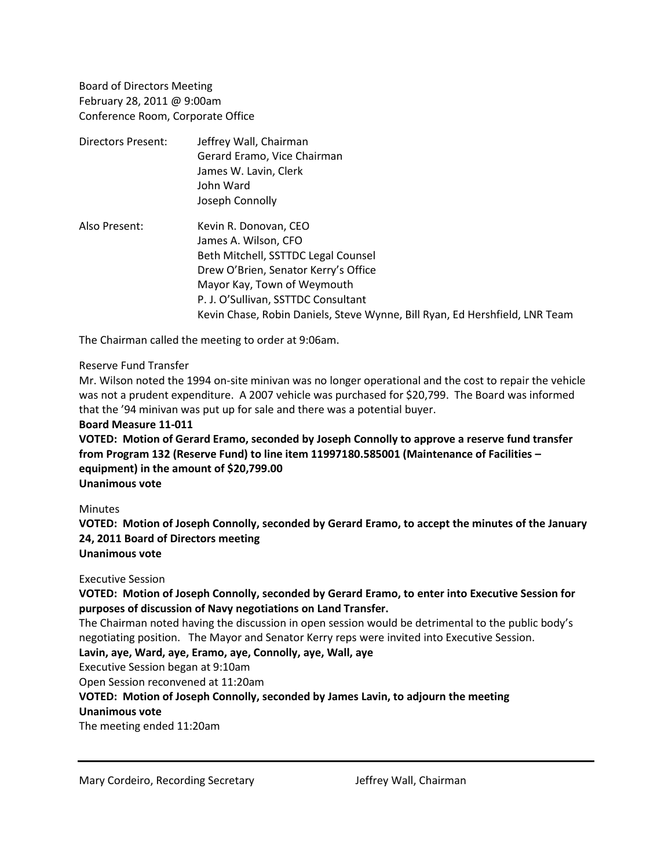Board of Directors Meeting February 28, 2011 @ 9:00am Conference Room, Corporate Office

| Directors Present: | Jeffrey Wall, Chairman                                                      |
|--------------------|-----------------------------------------------------------------------------|
|                    | Gerard Eramo, Vice Chairman                                                 |
|                    | James W. Lavin, Clerk                                                       |
|                    | John Ward                                                                   |
|                    | Joseph Connolly                                                             |
| Also Present:      | Kevin R. Donovan, CEO                                                       |
|                    | James A. Wilson, CFO                                                        |
|                    | Beth Mitchell, SSTTDC Legal Counsel                                         |
|                    | Drew O'Brien, Senator Kerry's Office                                        |
|                    | Mayor Kay, Town of Weymouth                                                 |
|                    | P. J. O'Sullivan, SSTTDC Consultant                                         |
|                    | Kevin Chase, Robin Daniels, Steve Wynne, Bill Ryan, Ed Hershfield, LNR Team |

The Chairman called the meeting to order at 9:06am.

### Reserve Fund Transfer

Mr. Wilson noted the 1994 on-site minivan was no longer operational and the cost to repair the vehicle was not a prudent expenditure. A 2007 vehicle was purchased for \$20,799. The Board was informed that the '94 minivan was put up for sale and there was a potential buyer.

### **Board Measure 11-011**

**VOTED: Motion of Gerard Eramo, seconded by Joseph Connolly to approve a reserve fund transfer from Program 132 (Reserve Fund) to line item 11997180.585001 (Maintenance of Facilities – equipment) in the amount of \$20,799.00 Unanimous vote**

### **Minutes**

**VOTED: Motion of Joseph Connolly, seconded by Gerard Eramo, to accept the minutes of the January 24, 2011 Board of Directors meeting Unanimous vote**

# Executive Session

**VOTED: Motion of Joseph Connolly, seconded by Gerard Eramo, to enter into Executive Session for purposes of discussion of Navy negotiations on Land Transfer.** 

The Chairman noted having the discussion in open session would be detrimental to the public body's negotiating position. The Mayor and Senator Kerry reps were invited into Executive Session.

## **Lavin, aye, Ward, aye, Eramo, aye, Connolly, aye, Wall, aye**

Executive Session began at 9:10am

Open Session reconvened at 11:20am

## **VOTED: Motion of Joseph Connolly, seconded by James Lavin, to adjourn the meeting**

## **Unanimous vote**

The meeting ended 11:20am

Mary Cordeiro, Recording Secretary The Mary Jeffrey Wall, Chairman